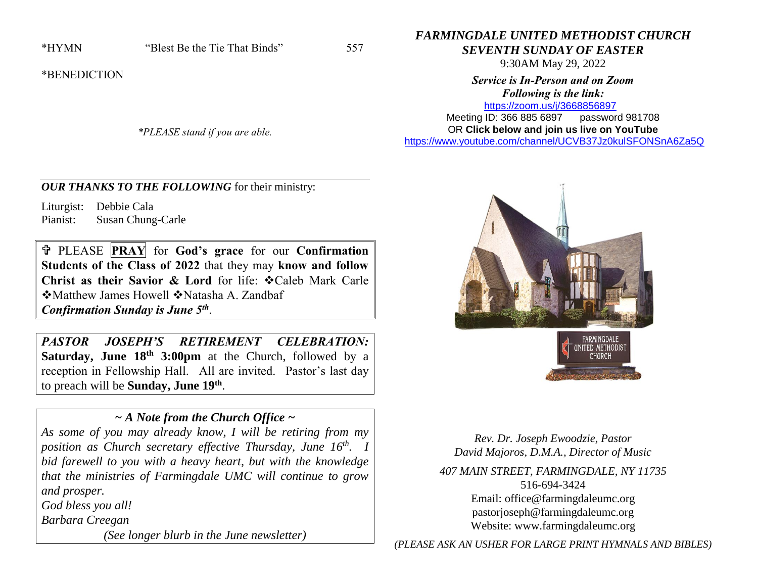\*BENEDICTION

*\*PLEASE stand if you are able.*

# *FARMINGDALE UNITED METHODIST CHURCH SEVENTH SUNDAY OF EASTER*

9:30AM May 29, 2022

# *Service is In-Person and on Zoom Following is the link:*

<https://zoom.us/j/3668856897> Meeting ID: 366 885 6897 password 981708

OR **Click below and join us live on YouTube** 

[https://www.youtube.com/channel/UCVB37Jz0kulSFONSnA6Za5Q](https://r20.rs6.net/tn.jsp?f=001k6RGPvPFbGGMIcfKWiNR_iQRr6wnePVJO5wPBmTGTUG-6H7Rno-Ccjzncf7RAcA2aCO1usCGiuYYhUDPog8HWc38p-B70aEHKS8a7AZ633unLlDnlsyY1rSZY7DrB1di009D1MFmnX36MQIEkLrC34ZIDpgMTMT95Xsd-rYhXX761Me0QKhAdY1E-Os86l7d&c=&ch=)

## *OUR THANKS TO THE FOLLOWING* for their ministry:

Liturgist: Debbie Cala Pianist: Susan Chung-Carle

 PLEASE **PRAY** for **God's grace** for our **Confirmation Students of the Class of 2022** that they may **know and follow Christ as their Savior & Lord for life:**  $\div$  **Caleb Mark Carle** ❖ Matthew James Howell ❖ Natasha A. Zandbaf *Confirmation Sunday is June 5th* .

*PASTOR JOSEPH'S RETIREMENT CELEBRATION:*  **Saturday, June 18th 3:00pm** at the Church, followed by a reception in Fellowship Hall. All are invited. Pastor's last day to preach will be **Sunday, June 19th** .

# *~ A Note from the Church Office ~*

*As some of you may already know, I will be retiring from my position as Church secretary effective Thursday, June 16th. I bid farewell to you with a heavy heart, but with the knowledge that the ministries of Farmingdale UMC will continue to grow and prosper.* 

*God bless you all!*

*Barbara Creegan*

*(See longer blurb in the June newsletter)*





*Rev. Dr. Joseph Ewoodzie, Pastor David Majoros, D.M.A., Director of Music*

*407 MAIN STREET, FARMINGDALE, NY 11735* 516-694-3424 Email: [office@farmingdaleumc.org](mailto:office@farmingdaleumc.org) pastorjoseph@farmingdaleumc.org Website: www.farmingdaleumc.org

*(PLEASE ASK AN USHER FOR LARGE PRINT HYMNALS AND BIBLES)*